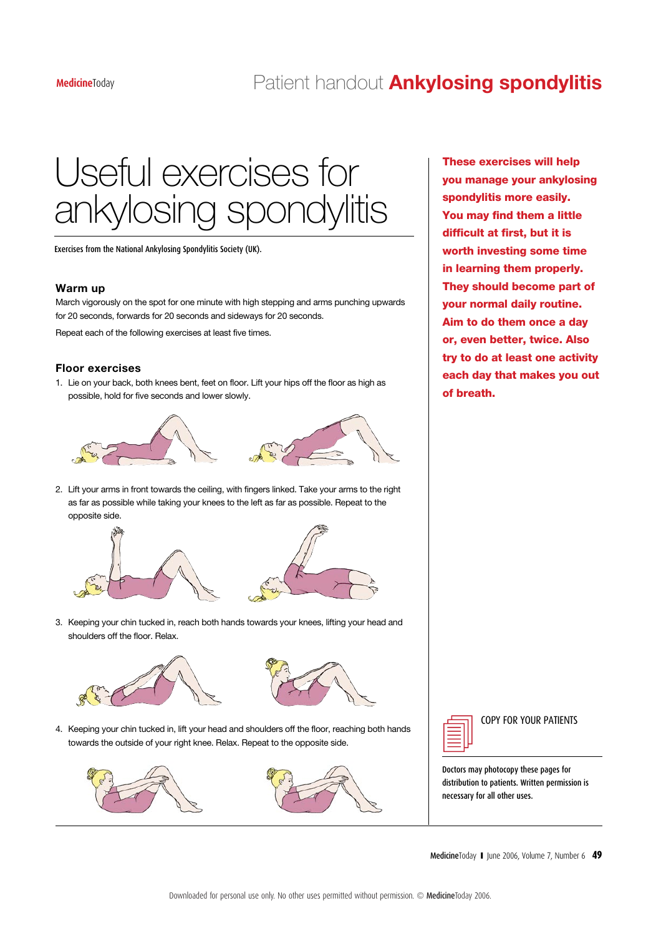## **Medicine**Today Patient handout **Ankylosing spondylitis**

# Useful exercises for ankylosing spondylitis

Exercises from the National Ankylosing Spondylitis Society (UK).

### **Warm up**

March vigorously on the spot for one minute with high stepping and arms punching upwards for 20 seconds, forwards for 20 seconds and sideways for 20 seconds.

Repeat each of the following exercises at least five times.

### **Floor exercises**

1. Lie on your back, both knees bent, feet on floor. Lift your hips off the floor as high as possible, hold for five seconds and lower slowly.





2. Lift your arms in front towards the ceiling, with fingers linked. Take your arms to the right as far as possible while taking your knees to the left as far as possible. Repeat to the opposite side.





3. Keeping your chin tucked in, reach both hands towards your knees, lifting your head and shoulders off the floor. Relax.





4. Keeping your chin tucked in, lift your head and shoulders off the floor, reaching both hands too ping your oring tacked in, in your right knee. Relax. Repeat to the opposite side.





These exercises will help you manage your ankylosing spondylitis more easily. You may find them a little difficult at first, but it is worth investing some time in learning them properly. They should become part of your normal daily routine. Aim to do them once a day or, even better, twice. Also try to do at least one activity each day that makes you out of breath.



COPY FOR YOUR PATIENTS

Doctors may photocopy these pages for distribution to patients. Written permission is necessary for all other uses.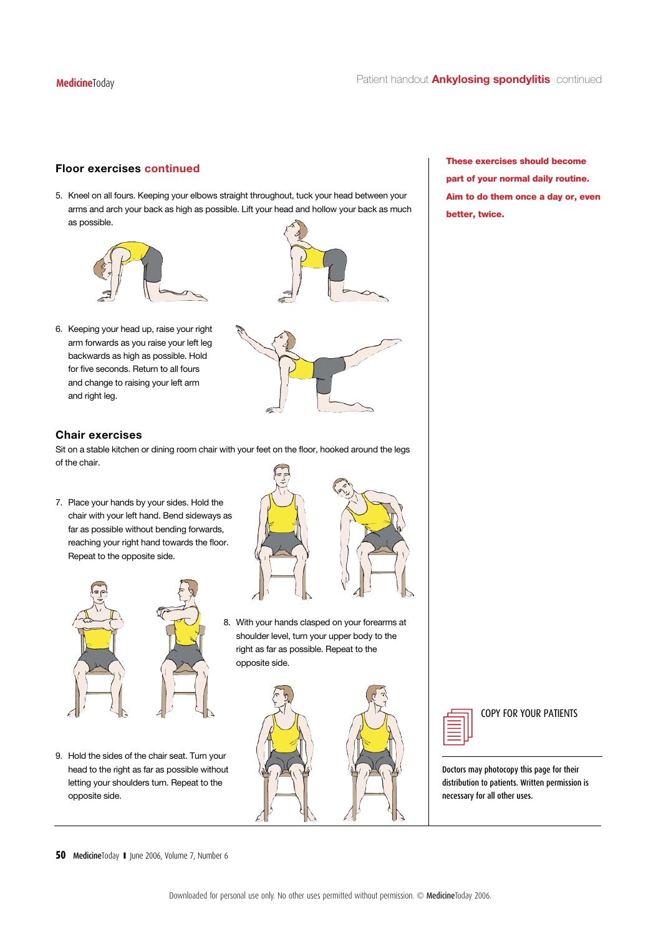### **Floor exercises continued**

5. Kneel on all fours. Keeping your elbows straight throughout, tuck your head between your arms and arch your back as high as possible. Lift your head and hollow your back as much as possible.



6. Keeping your head up, raise your right arm forwards as you raise your left leg backwards as high as possible. Hold for five seconds. Return to all fours and change to raising your left arm and right leg.



### **Chair exercises**

Sit on a stable kitchen or dining room chair with your feet on the floor, hooked around the legs of the chair.

7. Place your hands by your sides. Hold the chair with your left hand. Bend sideways as far as possible without bending forwards, reaching your right hand towards the floor. Repeat to the opposite side.





8. With your hands clasped on your forearms at shoulder level, turn your upper body to the  $\mathbb{R}$  and  $\mathbb{R}$  in personal use only. No other use personal use personal use  $\mathbb{R}$  and  $\mathbb{R}$  and  $\mathbb{R}$  are uses personal uses  $\mathbb{R}$  and  $\mathbb{R}$  are uses  $\mathbb{R}$  and  $\mathbb{R}$  are uses  $\mathbb{R}$  and  $\mathbb{$ opposite side.





COPY FOR YOUR PATIENTS

Doctors may photocopy this page for their distribution to patients. Written permission is necessary for all other uses.

These exercises should become part of your normal daily routine. Aim to do them once a day or, even better, twice.

**50** MedicineToday **I** June 2006, Volume 7, Number 6

9. Hold the sides of the chair seat. Turn your head to the right as far as possible without letting your shoulders turn. Repeat to the

opposite side.